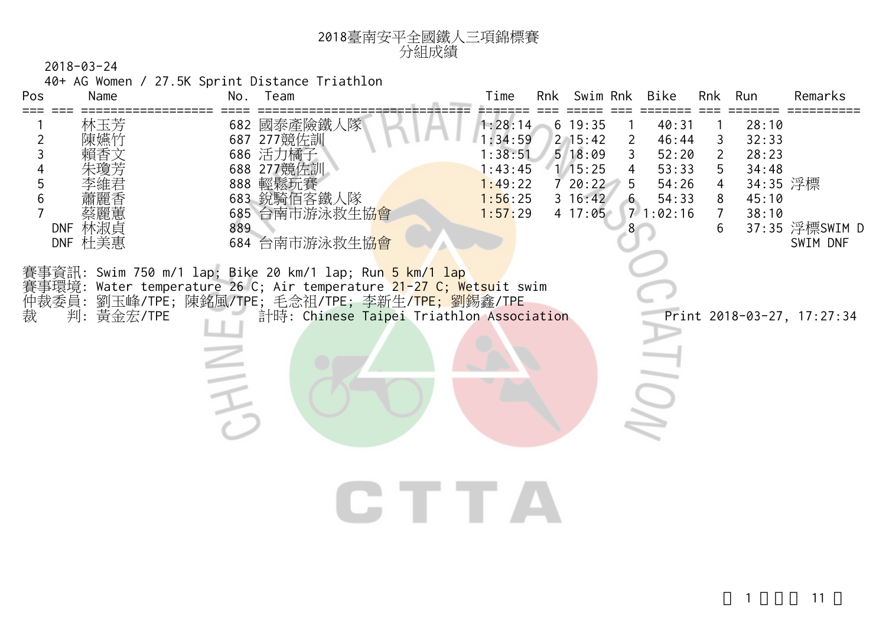

40+ AG Women / 27.5K Sprint Distance Triathlon

| Pos                                    | Name                             | No. | Team                                                                                                                                                                                                                                                                        | Time                                                                      | Rnk | Swim Rnk                                                                                                                                                                             | Bike                                                           | Rnk                                                       | Run                                                            | Remarks                    |
|----------------------------------------|----------------------------------|-----|-----------------------------------------------------------------------------------------------------------------------------------------------------------------------------------------------------------------------------------------------------------------------------|---------------------------------------------------------------------------|-----|--------------------------------------------------------------------------------------------------------------------------------------------------------------------------------------|----------------------------------------------------------------|-----------------------------------------------------------|----------------------------------------------------------------|----------------------------|
| $\overline{2}$<br>3<br>$\sqrt{5}$<br>6 | 林玉芳<br>陳嬿竹<br>DNF 林淑貞<br>DNF 杜美惠 | 889 | 682 國泰產險鐵人隊<br>687 277競佐訓<br>686 活力橘子<br>688 277競佐訓<br>888 輕鬆玩賽<br>683 銳騎佰客鐵人隊<br>685 台南市游泳救生協 <mark>會</mark><br>684 台南市游泳救生協會                                                                                                                                              | 1:28:14<br>1:34:59<br>1:38:51<br>1:43:45<br>1:49:22<br>1:56:25<br>1:57:29 |     | $6\;19:35$<br>$2 \, 15:42$<br>$\mathbf{2}$<br>518:09<br>$\mathsf{3}$<br>$\overline{4}$<br>1/15:25<br>720:22<br>5<br>$3\;16:42$<br>$6\overline{6}$<br>$4\;\; 17:05$<br>8 <sup>°</sup> | 40:31<br>46:44<br>52:20<br>53:33<br>54:26<br>54:33<br>71:02:16 | 3<br>$\overline{2}$<br>5<br>4<br>8<br>$\overline{7}$<br>6 | 28:10<br>32:33<br>28:23<br>34:48<br>34:35 浮標<br>45:10<br>38:10 | 37:35 浮標SWIM D<br>SWIM DNF |
| 裁                                      | 判:黃金宏/TPE                        |     | 賽事資訊: Swim 750 m/1 lap; Bike 20 km/1 lap; Ru <mark>n 5 km/1 lap</mark><br>賽事環境: Water temperature 26 C; Air temperature <mark>21-27 C; Wetsu</mark> it swim<br>仲裁委員: 劉玉峰/TPE; 陳銘風/TPE; 毛念祖/TPE; 李新生/ <mark>TPE; 劉</mark> 錫鑫/TPE<br>計時: Chinese Taipei Triathlon Association |                                                                           |     |                                                                                                                                                                                      |                                                                |                                                           |                                                                | Print 2018-03-27, 17:27:34 |
|                                        |                                  |     |                                                                                                                                                                                                                                                                             |                                                                           |     |                                                                                                                                                                                      |                                                                |                                                           |                                                                |                            |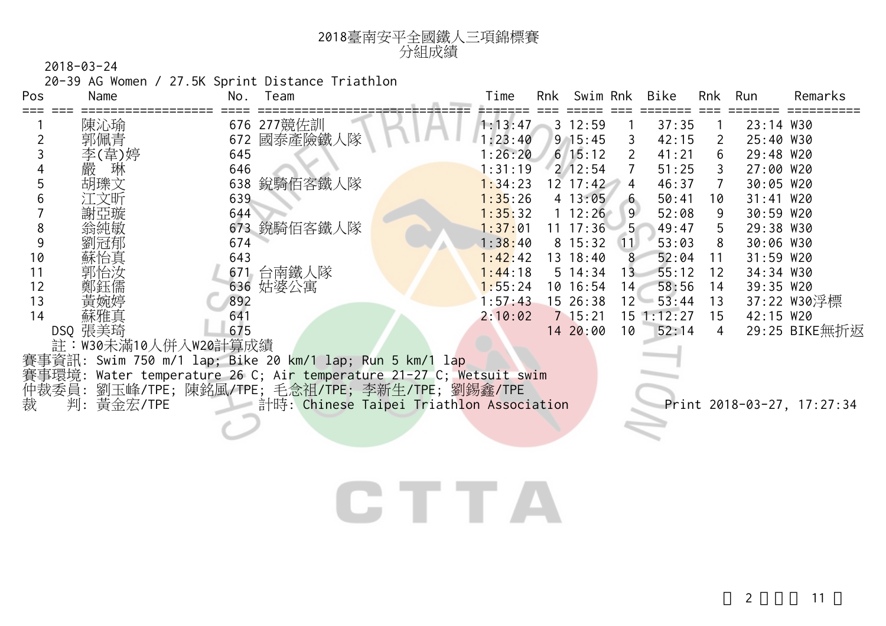| 2018臺南安平全國鐵人三項錦標賽 |
|-------------------|
| 分組成績              |

20-39 AG Women / 27.5K Sprint Distance Triathlon

| Pos | Name                | No.<br>Team                                                         | Time    | Rnk | Swim Rnk     |                 | Bike           | Rnk                   | Run         | Remarks                    |
|-----|---------------------|---------------------------------------------------------------------|---------|-----|--------------|-----------------|----------------|-----------------------|-------------|----------------------------|
|     | 陳沁瑜                 | 676 277 競佐訓                                                         | 1:13:47 |     | $3 \t12:59$  |                 | 37:35          |                       | 23:14 W30   |                            |
|     | 郭佩青                 | 國泰產險鐵人隊<br>672                                                      | : 23:40 |     | $9 \t15:45$  | 3               | 42:15          | $\mathbf{2}^{\prime}$ | 25:40 W30   |                            |
|     | 李(韋)婷               | 645                                                                 | : 26:20 |     | $6 \; 15:12$ | $\overline{2}$  | 41:21          | 6                     | 29:48 W20   |                            |
|     | 嚴<br>琳              | 646                                                                 | l:31:19 |     | $2 \t12:54$  |                 | 51:25          | 3                     | 27:00 W20   |                            |
|     | 胡瓅文                 | 638 銳騎佰客鐵人隊                                                         | 1:34:23 |     | $12 \t17:42$ | 4               | 46:37          | $\overline{7}$        | 30:05 W20   |                            |
|     |                     | 639                                                                 | 1:35:26 |     | 4 13:05      | 6               | 50:41          | 10                    | 31:41 W20   |                            |
|     | 謝亞璇                 | 644                                                                 | 1:35:32 |     | $1\;12:26$   | 9               | 52:08          | -9                    | 30:59 W20   |                            |
| 8   |                     | 673 銳騎佰客鐵人隊                                                         | 1:37:01 |     | $11 \t17:36$ | $-5$            | 49:47          | 5                     | 29:38 W30   |                            |
|     |                     | 674                                                                 | 1:38:40 |     | $8 \t15:32$  | (11)            | 53:03          | 8                     | 30:06 W30   |                            |
| 10  | 蘇怡真                 | 643                                                                 | 1:42:42 |     | 13 18:40     | 8               | 52:04          | 11                    | $31:59$ W20 |                            |
| 11  | 乳怡汝                 | 671 台南鐵人隊                                                           | 1:44:18 |     | $5 \; 14:34$ | 13              | 55:12          | 12                    | 34:34 W30   |                            |
| 12  | 鄭鈺儒                 | 636 姑婆公寓                                                            | 1:55:24 |     | 10 16:54     | 14 <sup>2</sup> | 58:56          | 14                    | 39:35 W20   |                            |
| 13  |                     | 892                                                                 | 1:57:43 |     | 15 26:38     |                 | $12 - 53:44$   | 13                    |             | 37:22 W30浮標                |
| 14  | 蘇雅真                 | 641                                                                 | 2:10:02 |     | $7 \t15:21$  |                 | $15 \t1:12:27$ | 15                    | 42:15 W20   |                            |
|     | DSQ 張美琦             | 675                                                                 |         |     | 14 20:00     | 10              | 52:14          | 4                     |             | 29:25 BIKE無折返              |
|     | 註:W30未滿10人併入W20計算成績 |                                                                     |         |     |              |                 |                |                       |             |                            |
|     |                     | 賽事資訊: Swim 750 m/1 lap; Bike 20 km/1 lap; Run 5 km/1 lap            |         |     |              |                 |                |                       |             |                            |
|     |                     | 賽事環境: Water temperature 26 C; Air temperature 21-27 C; Wetsuit swim |         |     |              |                 |                |                       |             |                            |
|     |                     | 仲裁委員: 劉玉峰/TPE; 陳銘風/TPE; 毛念祖/TPE; 李新生/TPE; 劉錫鑫/TPE                   |         |     |              |                 |                |                       |             |                            |
| 裁   | 判: 黃金宏/TPE          | 計時: Chinese Taipei Triathlon Association                            |         |     |              |                 |                |                       |             | Print 2018-03-27, 17:27:34 |
|     |                     |                                                                     |         |     |              |                 |                |                       |             |                            |

## CTTA

 $2 \qquad \qquad$  11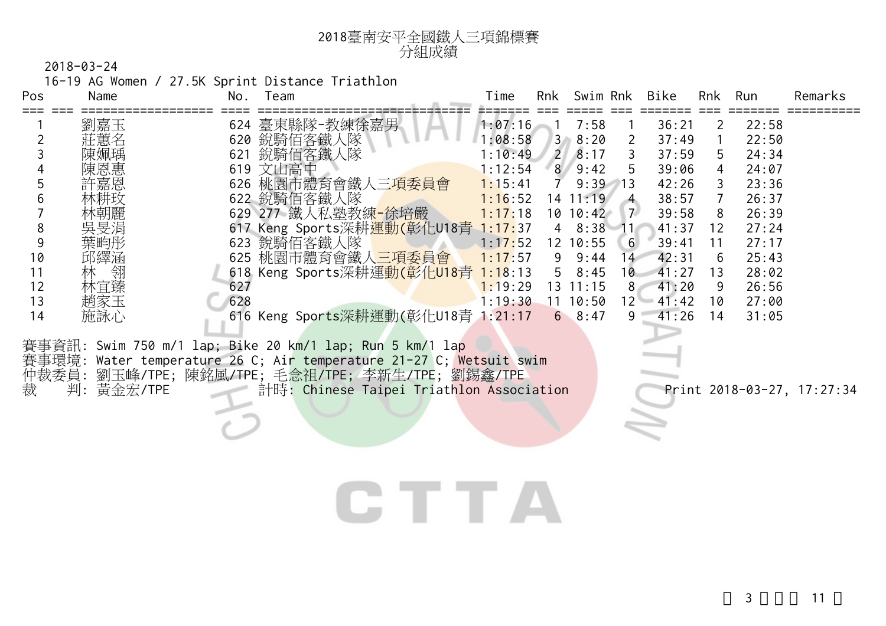| 2018臺南安平全國鐵人三項錦標賽 |
|-------------------|
| 分組成績              |

16-19 AG Women / 27.5K Sprint Distance Triathlon

| Pos | Name   | No. | Team                                                     | Time    | Rnk            | Swim Rnk     |                 | Bike  | Rnk | Run   | Remarks |
|-----|--------|-----|----------------------------------------------------------|---------|----------------|--------------|-----------------|-------|-----|-------|---------|
|     | 劉嘉玉    | 624 | 臺東縣隊-教練徐嘉男                                               | 1:07:16 |                | 7:58         |                 | 36:21 | 2.  | 22:58 |         |
|     | 莊蕙名    | 620 | 銳騎佰客鐵人隊                                                  | 1:08:58 | $3 -$          | 8:20         | 2               | 37:49 |     | 22:50 |         |
|     | 陳姵瑀    | 621 | 銳騎佰客鐵人隊                                                  | :10:49  | $\overline{2}$ | 8:17         |                 | 37:59 | 5.  | 24:34 |         |
|     | 陳恩惠    |     | 619 文山高中                                                 | : 12:54 | 8 <sup>1</sup> | 9:42         | 5               | 39:06 | 4   | 24:07 |         |
|     | 許嘉恩    |     | 626 桃園市體育會鐵人三項委員會                                        | 1:15:41 |                | $9:39$ 13    |                 | 42:26 | 3   | 23:36 |         |
|     | 林耕玫    |     | 622 銳騎佰客鐵人隊                                              | 1:16:52 |                | $14$ 11:19   | $\overline{4}$  | 38:57 |     | 26:37 |         |
|     | 木朝麗    |     | 629 277 鐵人私塾教練-徐培嚴                                       | 1:17:18 |                | 10 10:42     | 7 <sup>2</sup>  | 39:58 | 8   | 26:39 |         |
| 8   | 吳旻涓    |     | 617 Keng Sports深耕運動(彰化U18青                               | 1:17:37 |                | 48:38        | 11              | 41:37 | 12  | 27:24 |         |
|     | 葉畇彤    |     | 623 銳騎佰客鐵人隊                                              | 1:17:52 |                | 12 10:55     | 6               | 39:41 | 11  | 27:17 |         |
| 10  | 邱繹涵    | 625 | 桃園市體育會鐵人三項委員會                                            | 1:17:57 | 9              | 9:44         | $\vert 4 \vert$ | 42:31 | 6   | 25:43 |         |
|     | 翎<br>林 |     | 618 Keng Sports深耕運動(彰化U18青                               | 1:18:13 | 5              | 8:45         | 10              | 41:27 | 13  | 28:02 |         |
| 12  | 林宜臻    | 627 |                                                          | 1:19:29 |                | $13 \t11:15$ | $8-$            | 41:20 | 9   | 26:56 |         |
| 13  | 趙家玉    | 628 |                                                          | 1:19:30 |                | 11 10:50     | $12^{\circ}$    | 41:42 | 10  | 27:00 |         |
| 14  | 施詠心    |     | 616 Keng Sports深耕運動(彰化U18青 1:21:17                       |         |                | 68:47        | 9               | 41:26 | 14  | 31:05 |         |
|     |        |     | 賽事資訊: Swim 750 m/1 lap; Bike 20 km/1 lap; Run 5 km/1 lap |         |                |              |                 |       |     |       |         |

賽事環境: Water temperature 26 C; Air temperature 21-27 C; <mark>Wetsuit swim</mark> 仲裁委員: 劉玉峰/TPE; 陳銘風/TPE; 毛念祖/TPE; 李新生/TPE; 劉錫鑫/TPE 裁 判: 黃金宏/TPE 計時: Chinese Taipei Triathlon Association Print 2018-03-27, 17:27:34

# **CTTA**

 $3 \t\t 11$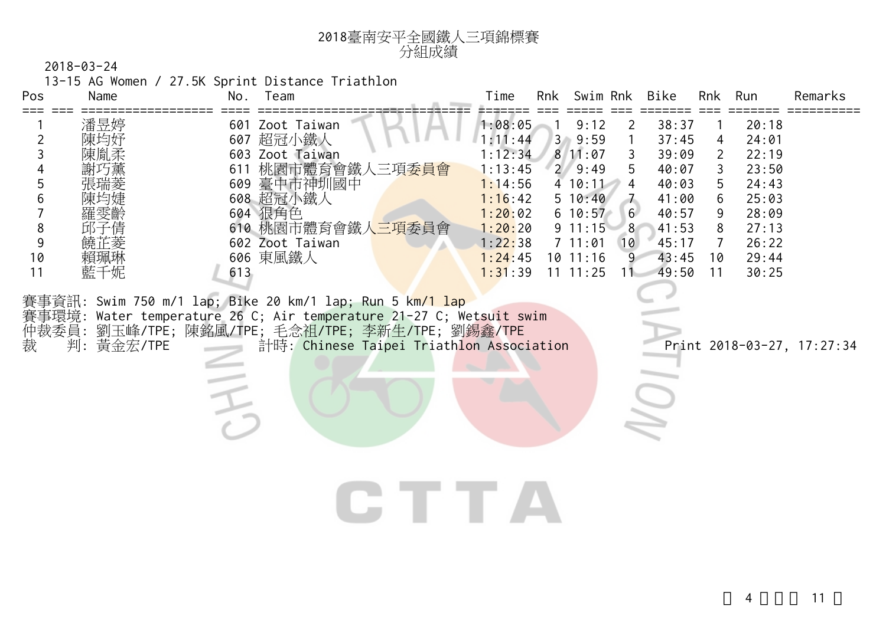

13-15 AG Women / 27.5K Sprint Distance Triathlon

| Pos                                                      | Name                    | No.        | TV-TV AG MOMENTY Z7.3N SPITTIC DISTANCE IN INCHITOR<br>Team                                                                                                                                                                                                                                                                                                                                | Time                                                                                                                  | Rnk Swim Rnk                                                                                                                            |                                                                                  | Bike                                                                                                 | Rnk                                                                                          | Run                                                                                             | Remarks                    |
|----------------------------------------------------------|-------------------------|------------|--------------------------------------------------------------------------------------------------------------------------------------------------------------------------------------------------------------------------------------------------------------------------------------------------------------------------------------------------------------------------------------------|-----------------------------------------------------------------------------------------------------------------------|-----------------------------------------------------------------------------------------------------------------------------------------|----------------------------------------------------------------------------------|------------------------------------------------------------------------------------------------------|----------------------------------------------------------------------------------------------|-------------------------------------------------------------------------------------------------|----------------------------|
| $\overline{2}$<br>3<br>5<br>6<br>8<br>9<br>10<br>11<br>裁 | 潘昱婷<br>藍千妮<br>判:黃金宏/TPE | 611<br>613 | 601 Zoot Taiwan<br>607 超冠小鐵人<br>603 Zoot Taiwan<br>桃園市體育會鐵人三項委員會<br>609 臺中市神圳國中<br>608 超冠小鐵人<br>604 狠角色<br>610 桃園市體育會鐵人三項委員會<br>602 Zoot Taiwan<br>606 東風鐵人<br>賽事資訊: Swim 750 m/1 lap; Bike 20 km/1 lap; Run 5 km/1 lap<br>賽事環境: Water temperature 26 C; Air temperature 21-27 C; Wetsuit swim<br>仲裁委員:劉玉峰/TPE;陳銘風/TPE;毛念祖/TPE;李新生/TPE;劉錫鑫/TPE<br>計時: Chinese Taipei Triathlon Association | 1:08:05<br>1:11:44<br>1:12:34<br>1:13:45<br>1:14:56<br>1:16:42<br>1:20:02<br>1:20:20<br>1:22:38<br>1:24:45<br>1:31:39 | 9:12<br>3, 9:59<br>811:07<br>$2 \, 9:49$<br>410:11<br>5 10:40<br>$6\ 10:57$<br>$9 \t11:15$<br>$7 \t11:01$<br>$10$ 11:16<br>$11 \t11:25$ | $\mathbf{2}$<br>3<br>5<br>$\overline{4}$<br>6<br>8 <sup>°</sup><br>10<br>9<br>11 | 38:37<br>37:45<br>39:09<br>40:07<br>40:03<br>41:00<br>40:57<br>41:53<br>45:17<br>43:45<br>49:50<br>9 | 1<br>$\overline{4}$<br>$\overline{2}$<br>3<br>5<br>6<br>9<br>8<br>$\overline{7}$<br>10<br>11 | 20:18<br>24:01<br>22:19<br>23:50<br>24:43<br>25:03<br>28:09<br>27:13<br>26:22<br>29:44<br>30:25 | Print 2018-03-27, 17:27:34 |
|                                                          |                         |            |                                                                                                                                                                                                                                                                                                                                                                                            |                                                                                                                       |                                                                                                                                         |                                                                                  |                                                                                                      |                                                                                              |                                                                                                 |                            |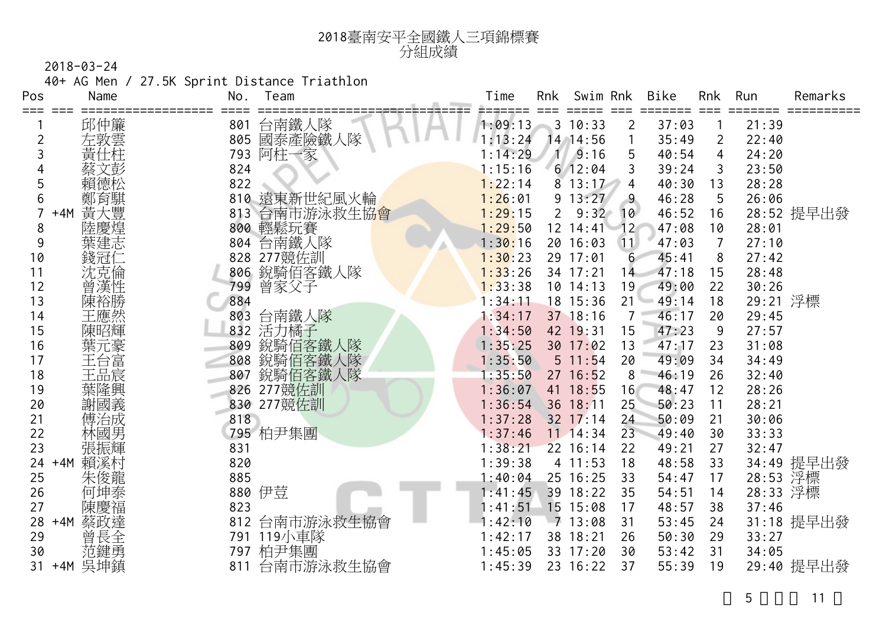

40+ AG Men / 27.5K Sprint Distance Triathlon

| Pos | Name         | No.<br>Team      | Time    | <b>Rnk</b>     | Swim Rnk     |                  | <b>Bike</b> | <b>Rnk</b>     | Run      | Remarks    |
|-----|--------------|------------------|---------|----------------|--------------|------------------|-------------|----------------|----------|------------|
|     | 邱仲簾          | 台南鐵人隊<br>801     | 1:09:13 |                | 3 10:33      | $\overline{2}$   | 37:03       |                | 21:39    |            |
| 2   |              | 國泰產險鐵人隊<br>805   | 1:13:24 |                | 14 14:56     |                  | 35:49       | $\overline{2}$ | 22:40    |            |
| 3   | 左敦雲<br>黃仕柱   | 阿柱一家<br>793      | 1:14:29 | 11             | 9:16         | 5                | 40:54       | 4              | 24:20    |            |
|     | 违            | 824              | 1:15:16 |                | $6$ 12:04    | 3                | 39:24       | 3              | 23:50    |            |
|     | 賴德松          | 822              | 1:22:14 | 8              | 13:17        | 4                | 40:30       | 13             | 28:28    |            |
| 6   |              | 遠東新世紀風火輪<br>810  | 1:26:01 | 9              | 13:27        | $\overline{9}$   | 46:28       | 5              | 26:06    |            |
|     | 鄭育騏<br>$+4M$ | 台南市游泳救生協會<br>813 | 1:29:15 | $\overline{2}$ | 9:32         | 10               | 46:52       | 16             |          | 28:52 提早出發 |
| 8   | 陸慶煌          | 800<br>輕鬆玩賽      | 1:29:50 |                | 12 14:41     | 12 <sup>°</sup>  | 47:08       | 10             | 28:01    |            |
| 9   | 葉建志          | 台南鐵人隊<br>804     | 1:30:16 |                | 20 16:03     | 11               | 47:03       | $\overline{7}$ | 27:10    |            |
| 10  | 錢冠仁          | 277競佐訓<br>828    | 1:30:23 |                | 29 17:01     | $6 \overline{6}$ | 45:41       | 8              | 27:42    |            |
| 11  | 沈克倫          | 銳騎佰客鐵人隊<br>806   | 1:33:26 |                | 34 17:21     | 14               | 47:18       | 15             | 28:48    |            |
| 12  | 曾漢性          | 曾家父子<br>799      | 1:33:38 |                | $10$ $14:13$ | 19               | 49:00       | 22             | 30:26    |            |
| 13  | 陳裕勝          | 884              | 1:34:11 |                | 18 15:36     | 21               | 49:14       | 18             | 29:21 浮標 |            |
| 14  | 王應然          | 台南鐵人隊<br>803     | 1:34:17 |                | 37 18:16     | $\overline{7}$   | 46:17       | 20             | 29:45    |            |
| 15  | 陳昭輝          | 活力橘子<br>832      | 1:34:50 |                | 42 19:31     | 15               | 47:23       | 9              | 27:57    |            |
| 16  |              | 銳騎佰客鐵人隊<br>809   | 1:35:25 |                | 30 17:02     | 13               | 47:17       | 23             | 31:08    |            |
| 17  | 葉五台品誌        | 銳騎佰客鐵人隊<br>808   | 1:35:50 |                | 5 11:54      | 20               | 49:09       | 34             | 34:49    |            |
| 18  |              | 銳騎佰客鐵人隊<br>807   | 1:35:50 |                | 27 16:52     | 8                | 46:19       | 26             | 32:40    |            |
| 19  | 葉隆興          | 277競佐訓<br>826    | 1:36:07 |                | 41 18:55     | 16               | 48:47       | 12             | 28:26    |            |
| 20  | 謝國義          | 830 277競佐訓       | 1:36:54 |                | 36 18:11     | 25               | 50:23       | 11             | 28:21    |            |
| 21  | 傅治成          | 818              | 1:37:28 |                | $32$ 17:14   | 24               | 50:09       | 21             | 30:06    |            |
| 22  | 林國男          | 795 柏尹集團         | 1:37:46 |                | $11$ $14:34$ | 23               | 49:40       | 30             | 33:33    |            |
| 23  | 張振輝          | 831              | 1:38:21 |                | 22 16:14     | 22               | 49:21       | 27             | 32:47    |            |
| 24  | 賴溪村<br>$+4M$ | 820              | 1:39:38 |                | 4 11:53      | 18               | 48:58       | 33             |          | 34:49 提早出發 |
| 25  | 朱俊龍          | 885              | 1:40:04 |                | 25 16:25     | 33               | 54:47       | 17             | 28:53    | 浮標         |
| 26  | 何坤泰          | 伊荳<br>880        | 1:41:45 |                | 39 18:22     | 35               | 54:51       | 14             | 28:33 浮標 |            |
| 27  | 陳慶福          | 823              | 1:41:51 |                | 15 15:08     | 17               | 48:57       | 38             | 37:46    |            |
| 28  | 蔡政達<br>$+4M$ | 台南市游泳救生協會<br>812 | 1:42:10 |                | $-7$ 13:08   | 31               | 53:45       | 24             |          | 31:18 提早出發 |
| 29  | 曾長全<br>范鍵勇   | 119小車隊<br>791    | 1:42:17 |                | 38 18:21     | 26               | 50:30       | 29             | 33:27    |            |
| 30  |              | 柏尹集團<br>797      | 1:45:05 |                | 33 17:20     | 30               | 53:42       | 31             | 34:05    |            |
| 31  | +4M 吴坤鎮      | 台南市游泳救生協會<br>811 | 1:45:39 |                | 23 16:22     | 37               | 55:39       | 19             |          | 29:40 提早出發 |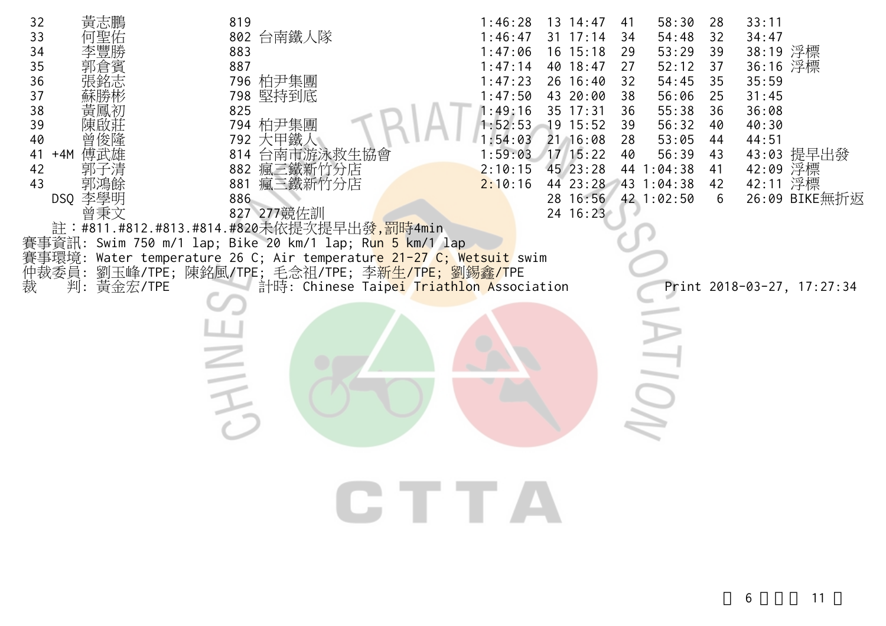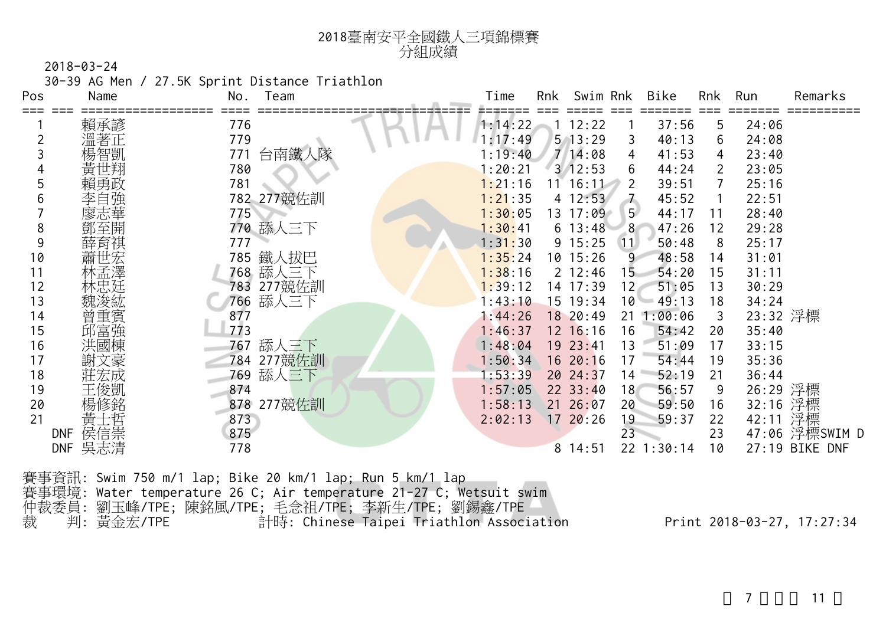30-39 AG Men / 27.5K Sprint Distance Triathlon

臺南安平全國鐵人三項錦標賽

| Pos | Name              | No.<br>Team   | Bike<br>Rnk<br>Swim Rnk<br>Run<br>Time<br>Rnk<br>Remarks      |
|-----|-------------------|---------------|---------------------------------------------------------------|
|     | 賴承諺               | 776           | 12:22<br>37:56<br>24:06<br>1:14:22<br>5                       |
|     |                   | 779           | $5$ 13:29<br>40:13<br>:17:49<br>24:08<br>3<br>6               |
|     |                   | 台南鐵人隊<br>771  | 714:08<br>23:40<br>4<br>41:53<br>: 19:40<br>4                 |
|     |                   | 780           | : 20:21<br>3/12:53<br>44:24<br>23:05<br>6<br>$\overline{2}$   |
|     |                   | 781           | 1:21:16<br>$11 \t16:11$<br>39:51<br>25:16<br>2                |
| b   |                   | 782 277競佐訓    | 1:21:35<br>4 12:53<br>$\overline{1}$<br>45:52<br>22:51        |
|     |                   | 775           | 5 <sup>1</sup><br>1:30:05<br>13 17:09<br>28:40<br>44:17<br>11 |
| 8   |                   | 770 舔人三下      | $6 \t13:48$<br>8<br>1:30:41<br>47:26<br>29:28<br>12           |
| 9   |                   | 777           | $9\;15:25$<br>1:31:30<br>50:48<br>25:17<br>$\vert$ 11<br>8    |
| 10  |                   | 785 鐵人拔巴      | 1:35:24<br>10 15:26<br>$\overline{9}$<br>48:58<br>31:01<br>14 |
| 11  |                   | 768 舔人三下      | 1:38:16<br>$2 \t12:46$<br>31:11<br>15<br>54:20<br>15          |
| 12  |                   | 277競佐訓<br>783 | 51:05<br>14 17:39<br>12<br>1:39:12<br>13<br>30:29             |
| 13  |                   | 舔人三下<br>766   | 10<br>1:43:10<br>15 19:34<br>49:13<br>34:24<br>18             |
| 14  | 曾重賓               | 877           | 23:32 浮標<br>1:44:26<br>18 20:49<br>1:00:06<br>21<br>3         |
| 15  | 邱富強               | 773           | 35:40<br>1:46:37<br>$12 \t16:16$<br>16<br>54:42<br>20         |
| 16  |                   | 舔人三下<br>767   | 1:48:04<br>19 23:41<br>51:09<br>17<br>33:15<br>13             |
| 17  | :豪                | 784 277競佐訓    | 16 20:16<br>54:44<br>1:50:34<br>17<br>35:36<br>19             |
| 18  |                   | 舔人三下<br>769   | 1:53:39<br>20 24:37<br>52:19<br>36:44<br>14<br>21             |
| 19  | 王俊凱               | 874           | 26:29 浮標<br>$22 \t33:40$<br>56:57<br>1:57:05<br>18<br>9       |
| 20  |                   | 878 277競佐訓    | 32:16 浮標<br>21 26:07<br>59:50<br>1:58:13<br>20<br>16          |
| 21  | 黃士哲               | 873           | 42:11 浮標<br>2:02:13<br>1720:26<br>19<br>59:37<br>22           |
|     | 侯信崇<br><b>DNF</b> | 875           | 47:06 浮標SWIM D<br>23<br>23                                    |
|     | 吳志清<br>DNF        | 778           | 27:19 BIKE DNF<br>22 1:30:14<br>10<br>814:51                  |

分組成績

賽事資訊: Swim 750 m/1 lap; Bike 20 km/1 lap; Run 5 km/1 lap 賽事環境: Water temperature 26 C; Air temperature 21-27 C; Wetsuit swim 仲裁委員: 劉玉峰/TPE; 陳銘風/TPE; 毛念祖/TPE; 李新生/TPE; 劉錫鑫/TPE 裁 判: 黃金宏/TPE 計時: Chinese Taipei Triathlon Association Print 2018-03-27, 17:27:34

 $7 \quad 11$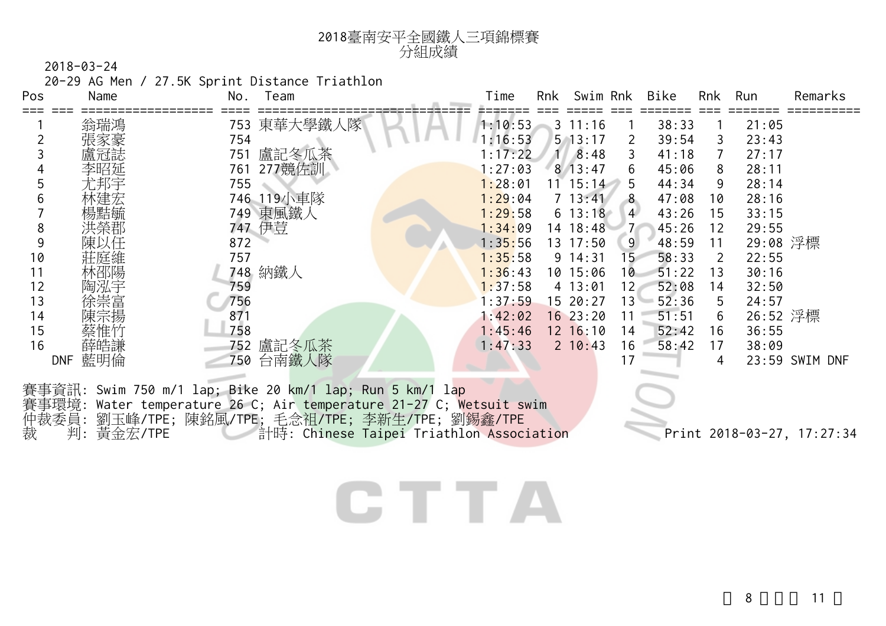

20-29 AG Men / 27.5K Sprint Distance Triathlon

| Pos | Name              | No.<br>Team                                                                                                                                                                                                                      | Time    | Rnk | Swim Rnk       |                 | Bike  | Rnk | Run      | Remarks                    |
|-----|-------------------|----------------------------------------------------------------------------------------------------------------------------------------------------------------------------------------------------------------------------------|---------|-----|----------------|-----------------|-------|-----|----------|----------------------------|
|     | 翁瑞鴻               | 753 東華大學鐵人隊                                                                                                                                                                                                                      | 1:10:53 |     | $3 \t11:16$    |                 | 38:33 |     | 21:05    |                            |
|     |                   | 754                                                                                                                                                                                                                              | 1:16:53 |     | $5 \t13:17$    | 2               | 39:54 | 3   | 23:43    |                            |
|     | 盧冠誌               | 盧記冬瓜茶<br>751                                                                                                                                                                                                                     | : 17:22 |     | $1 \quad 8:48$ | 3               | 41:18 | 7   | 27:17    |                            |
|     | 李昭延               | 277競佐訓<br>761                                                                                                                                                                                                                    | : 27:03 |     | $8 \; 13:47$   | 6               | 45:06 | 8   | 28:11    |                            |
|     | 尤邦宇               | 755                                                                                                                                                                                                                              | 1:28:01 |     | $11 \t15:14$   | 5               | 44:34 | 9   | 28:14    |                            |
|     |                   | 746 119小車隊                                                                                                                                                                                                                       | 1:29:04 |     | $7 \t13:41$    | 8               | 47:08 | 10  | 28:16    |                            |
|     | 煬黠毓               | 749 東風鐵人                                                                                                                                                                                                                         | 1:29:58 |     | $6\;13:18$     | $\overline{4}$  | 43:26 | 15  | 33:15    |                            |
| 8   |                   | 747 伊荳                                                                                                                                                                                                                           | 1:34:09 |     | 14 18:48       |                 | 45:26 | 12  | 29:55    |                            |
| 9   | 陳以任               | 872                                                                                                                                                                                                                              | 1:35:56 |     | $13 \t17:50$   | 9               | 48:59 | 11  | 29:08 浮標 |                            |
| 10  | 莊庭維               | 757                                                                                                                                                                                                                              | 1:35:58 |     | $9 \t14:31$    | 15 <sup>°</sup> | 58:33 | 2   | 22:55    |                            |
| 11  | 林邵陽               | 748 納鐵人                                                                                                                                                                                                                          | 1:36:43 |     | 10 15:06       | 10              | 51:22 | 13  | 30:16    |                            |
| 12  |                   | 759                                                                                                                                                                                                                              | 1:37:58 |     | 4 13:01        | 12 <sub>1</sub> | 52:08 | 14  | 32:50    |                            |
| 13  | 余崇富               | 756                                                                                                                                                                                                                              | 1:37:59 |     | 15 20:27       | $13 -$          | 52:36 | 5   | 24:57    |                            |
| 14  |                   | 871                                                                                                                                                                                                                              | 1:42:02 |     | 1623:20        | 11              | 51:51 | 6   | 26:52 浮標 |                            |
| 15  | 蔡惟竹               | 758                                                                                                                                                                                                                              | 1:45:46 |     | $12 \t16:10$   | 14              | 52:42 | 16  | 36:55    |                            |
| 16  | 薛皓謙               | 752 盧記冬瓜茶                                                                                                                                                                                                                        | 1:47:33 |     | $2 \t10:43$    | 16              | 58:42 | 17  | 38:09    |                            |
|     | 藍明倫<br><b>DNF</b> | 台南鐵人隊<br>750                                                                                                                                                                                                                     |         |     |                | 17              |       | 4   |          | 23:59 SWIM DNF             |
| 裁   | 判:黃金宏/TPE         | 賽事資訊: Swim 750 m/1 lap; Bike 20 km/1 lap; Run 5 km/1 lap<br>賽事環境: Water temperature 26 C; Air temperature 21-27 C; Wetsuit swim<br>仲裁委員: 劉玉峰/TPE; 陳銘風/TPE; 毛念祖/TPE; 李新生/TPE; 劉錫鑫/TPE<br>計時: Chinese Taipei Triathlon Association |         |     |                |                 |       |     |          | Print 2018-03-27, 17:27:34 |

### CTTA

8 11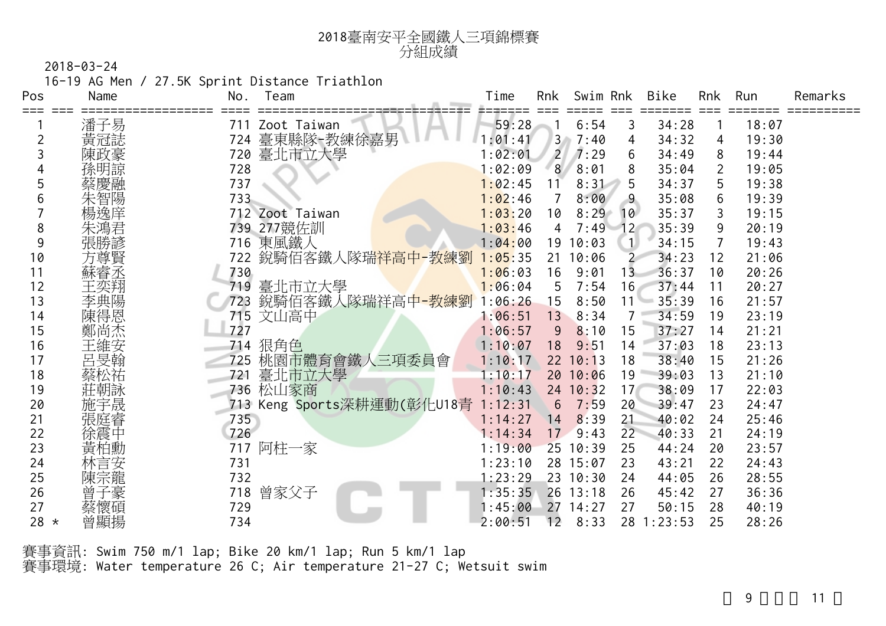| 2018臺南安平全國鐵人三項錦標賽 |
|-------------------|
| 分組成績              |

16-19 AG Men / 27.5K Sprint Distance Triathlon

| Pos    | Name | No. | Team                               | Time     | Rnk             | Swim Rnk |                 | Bike    | <b>Rnk</b>   | Run   | Remarks |
|--------|------|-----|------------------------------------|----------|-----------------|----------|-----------------|---------|--------------|-------|---------|
| ===    | 潘子易  | 711 | Zoot Taiwan                        | 59:28    |                 | 6:54     | 3               | 34:28   |              | 18:07 |         |
|        | 黃冠誌  | 724 | 臺東縣隊-教練徐嘉男                         | : 01: 41 | 3 <sub>o</sub>  | 7:40     | 4               | 34:32   | 4            | 19:30 |         |
|        | 陳政豪  |     | 720 臺北市立大學                         | 1:02:01  | $\overline{2}$  | 7:29     | 6               | 34:49   | 8            | 19:44 |         |
|        |      | 728 |                                    | 1:02:09  | 8               | 8:01     | 8               | 35:04   | $\mathbf{2}$ | 19:05 |         |
| 5      |      | 737 |                                    | 1:02:45  | 11              | 8:31     | 5               | 34:37   | 5            | 19:38 |         |
|        | 智陽   | 733 |                                    | 1:02:46  |                 | 8:00     | 9               | 35:08   | 6            | 19:39 |         |
|        | 楊逸庠  |     | 712 Zoot Taiwan                    | 1:03:20  | 10              | 8:29     | 10              | 35:37   | 3            | 19:15 |         |
| 8      |      |     | 739 277競佐訓                         | 1:03:46  | 4               | 7:49     | 12 <sup>°</sup> | 35:39   | 9            | 20:19 |         |
| 9      | 張勝諺  | 716 | 東風鐵人                               | 1:04:00  | 19              | 10:03    | $\mathbf{1}$    | 34:15   | 7            | 19:43 |         |
| 10     | 方尊賢  | 722 | 銳騎佰客鐵人隊瑞祥高中-教練劉                    | 1:05:35  | 21              | 10:06    | $\overline{2}$  | 34:23   | 12           | 21:06 |         |
| 11     | 蘇睿丞  | 730 |                                    | 1:06:03  | 16              | 9:01     | 13              | 36:37   | 10           | 20:26 |         |
| 12     |      | 719 | 臺北市立大學                             | 1:06:04  | 5               | 7:54     | 16              | 37:44   | 11           | 20:27 |         |
| 13     | 李典陽  | 723 | 銳騎佰客鐵人隊瑞祥高中-教練劉                    | 1:06:26  | 15              | 8:50     | 11              | 35:39   | 16           | 21:57 |         |
| 14     | 陳得恩  | 715 | 文山高中                               | 1:06:51  | 13              | 8:34     | 7               | 34:59   | 19           | 23:19 |         |
| 15     | 鄭尚杰  | 727 |                                    | 1:06:57  | 9               | 8:10     | 15              | 37:27   | 14           | 21:21 |         |
| 16     | 王維安  | 714 | 狠角色                                | 1:10:07  | 18              | 9:51     | 14              | 37:03   | 18           | 23:13 |         |
| 17     | 呂旻翰  | 725 | 桃園市體育會鐵人三項委員會                      | 1:10:17  |                 | 22 10:13 | 18              | 38:40   | 15           | 21:26 |         |
| 18     |      | 721 | 臺北市立大學                             | 1:10:17  |                 | 20 10:06 | 19              | 39:03   | 13           | 21:10 |         |
| 19     | 莊朝詠  | 736 | 松山家商                               | 1:10:43  |                 | 24 10:32 | 17              | 38:09   | 17           | 22:03 |         |
| 20     | 施宇晟  |     | 713 Keng Sports深耕運動(彰化U18青 1:12:31 |          | 6               | 7:59     | 20              | 39:47   | 23           | 24:47 |         |
| 21     |      | 735 |                                    | 1:14:27  | 14              | 8:39     | 21              | 40:02   | 24           | 25:46 |         |
| 22     | 徐震中  | 726 |                                    | 1:14:34  | 17 <sup>2</sup> | 9:43     | 22              | 40:33   | 21           | 24:19 |         |
| 23     |      | 717 | 阿柱一家                               | 1:19:00  | 25              | 10:39    | 25              | 44:24   | 20           | 23:57 |         |
| 24     | 林言安  | 731 |                                    | 1:23:10  | 28              | 15:07    | 23              | 43:21   | 22           | 24:43 |         |
| 25     | 陳宗龍  | 732 |                                    | 1:23:29  |                 | 23 10:30 | 24              | 44:05   | 26           | 28:55 |         |
| 26     | 曾子豪  | 718 | 曾家父子                               | 1:35:35  |                 | 26 13:18 | 26              | 45:42   | 27           | 36:36 |         |
| 27     | 蔡懷碩  | 729 |                                    | :45:00   | 27              | 14:27    | 27              | 50:15   | 28           | 40:19 |         |
| 28 $*$ | 曾顯揚  | 734 |                                    | 2:00:51  | 12              | 8:33     | 28              | 1:23:53 | 25           | 28:26 |         |

賽事資訊: Swim 750 m/1 lap; Bike 20 km/1 lap; Run 5 km/1 lap 賽事環境: Water temperature 26 C; Air temperature 21-27 C; Wetsuit swim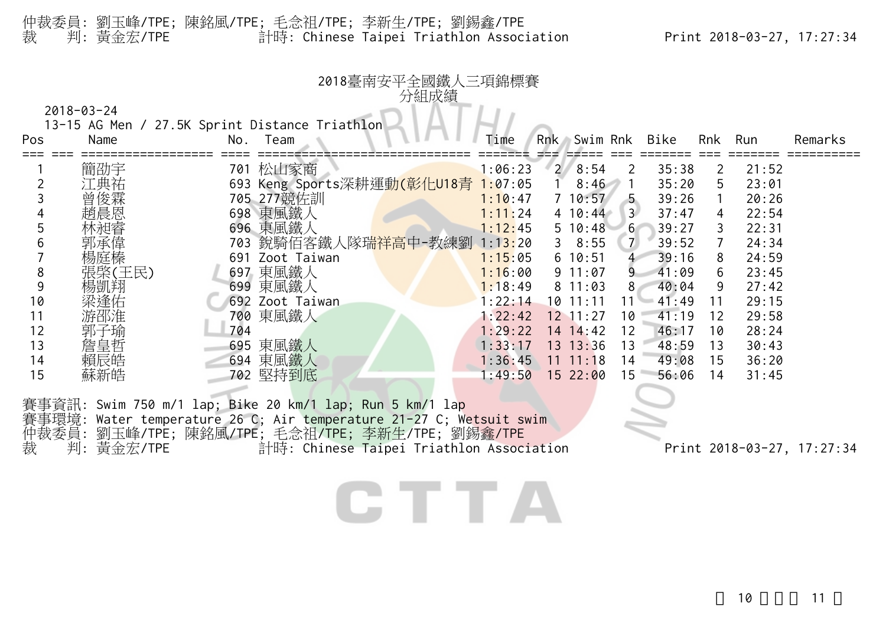#### 仲裁委員: 劉玉峰/TPE; 陳銘風/TPE; 毛念祖/TPE; 李新生/TPE; 劉錫鑫/TPE 裁 判: 黃金宏/TPE 計時: Chinese Taipei Triathlon Association Print 2018-03-27, 17:27:34

| Pos | Name   | No. | 13-15 AG Men / 27.5K Sprint Distance Triathlon<br>Team | Time    | Rnk | Swim Rnk     |                | Bike  | Rnk            | Run   | Remarks |
|-----|--------|-----|--------------------------------------------------------|---------|-----|--------------|----------------|-------|----------------|-------|---------|
|     | 簡劭宇    |     | 701 松山家商                                               | 1:06:23 |     | 28:54        | 2              | 35:38 | $\overline{2}$ | 21:52 |         |
|     | *典祐    |     | 693 Keng Sports深耕運動(彰化U18青                             | 1:07:05 |     | 8:46         |                | 35:20 | 5              | 23:01 |         |
|     |        |     | 705 277競佐訓                                             | 1:10:47 |     | 710:57       | 5              | 39:26 | $\mathbf{1}$   | 20:26 |         |
|     | 趙晨恩    |     | 698 東風鐵人                                               | 1:11:24 |     | $4 \t10:44$  | $\overline{3}$ | 37:47 | 4              | 22:54 |         |
|     |        |     | 696 東風鐵人                                               | 1:12:45 |     | 5 10:48      | 6 <sup>1</sup> | 39:27 | 3              | 22:31 |         |
|     |        | 703 |                                                        | 1:13:20 |     | 38:55        | $\overline{7}$ | 39:52 | 7              | 24:34 |         |
|     |        | 691 | Zoot Taiwan                                            | 1:15:05 |     | 610:51       | $\overline{4}$ | 39:16 | 8              | 24:59 |         |
| 8   | 張棨(王民) |     | 697 東風鐵人                                               | 1:16:00 |     | 9 11:07      | 9              | 41:09 | 6              | 23:45 |         |
| 9   | 楊凱翔    | 699 | 東風鐵人                                                   | 1:18:49 |     | 811:03       | 8              | 40:04 | 9              | 27:42 |         |
| 10  | 梁逢佑    | 692 | Zoot Taiwan                                            | 1:22:14 |     | 10 11:11     | 11             | 41:49 | 11             | 29:15 |         |
| 11  | 游邵淮    |     | 700 東風鐵人                                               | 1:22:42 |     | $12$ $11:27$ | 10             | 41:19 | 12             | 29:58 |         |
| 12  | 剥、     | 704 |                                                        | 1:29:22 |     | $14 \t14:42$ | 12             | 46:17 | 10             | 28:24 |         |
| 13  | 詹皇哲    | 695 | 東風鐵人                                                   | 1:33:17 |     | 13.13:36     | 13             | 48:59 | 13             | 30:43 |         |
| 14  | 賴辰皓    |     | 694 東風鐵人                                               | 1:36:45 |     | $11 \t11:18$ | 14             | 49:08 | 15             | 36:20 |         |
| 15  | 蘇新皓    | 702 | 堅持到底                                                   | :49:50  |     | 1522:00      | 15             | 56:06 | 14             | 31:45 |         |

賽事環境: Water temperature 26 C; Air temperature 21-27 C; Wetsuit swim 仲裁委員: 劉玉峰/TPE; 陳銘風/TPE; 毛念祖/TPE; 李新生/TPE; 劉錫鑫/TPE 裁 判: 黃金宏/TPE 計時: Chinese Taipei Triathlon Association Print 2018-03-27, 17:27:34

#### CTTA